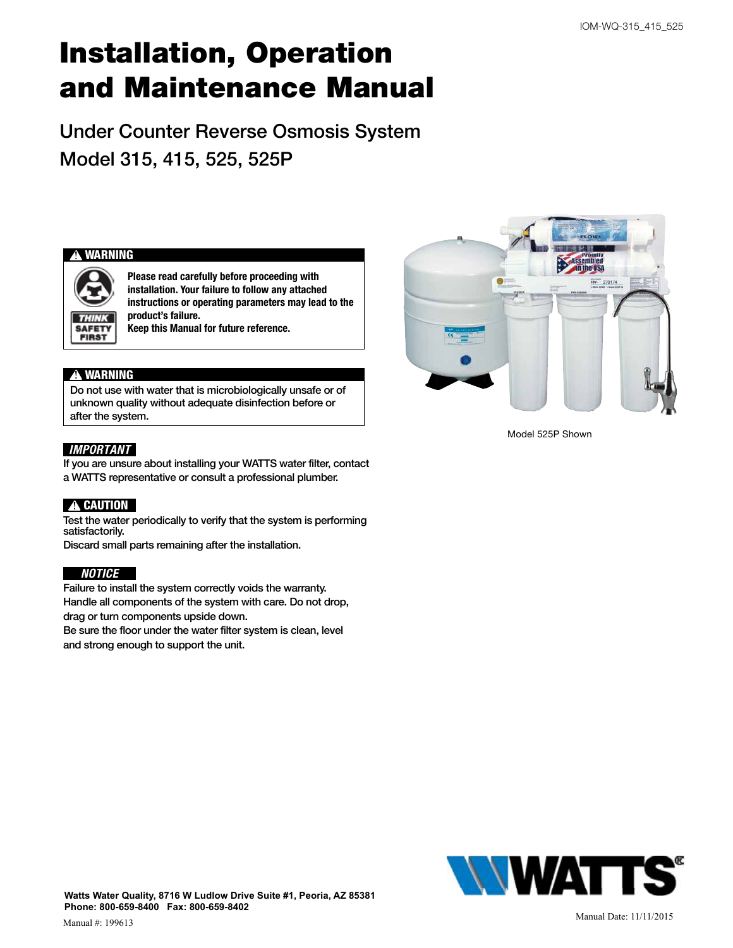# Installation, Operation and Maintenance Manual

Under Counter Reverse Osmosis System Model 315, 415, 525, 525P

#### **!** WARNING



Please read carefully before proceeding with installation. Your failure to follow any attached instructions or operating parameters may lead to the product's failure. Keep this Manual for future reference.

#### **!** WARNING

Do not use with water that is microbiologically unsafe or of unknown quality without adequate disinfection before or after the system.

#### *IMPORTANT*

If you are unsure about installing your WATTS water filter, contact a WATTS representative or consult a professional plumber.

#### **!** CAUTION

Test the water periodically to verify that the system is performing satisfactorily.

Discard small parts remaining after the installation.

#### *NOTICE*

Failure to install the system correctly voids the warranty. Handle all components of the system with care. Do not drop, drag or turn components upside down.

Be sure the floor under the water filter system is clean, level and strong enough to support the unit.



Model 525P Shown

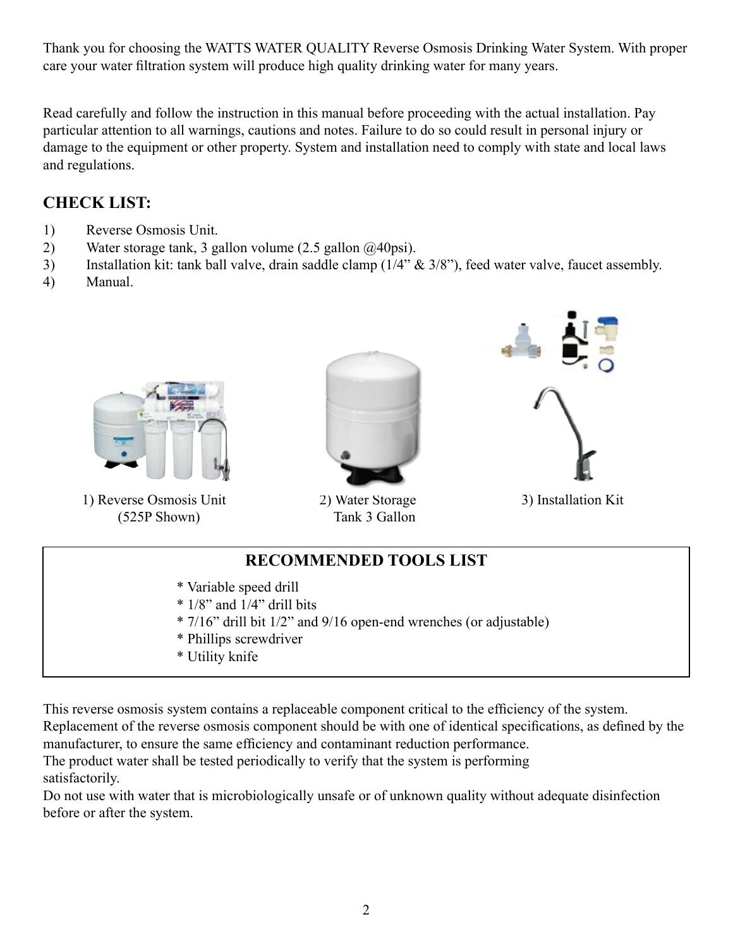Thank you for choosing the WATTS WATER QUALITY Reverse Osmosis Drinking Water System. With proper care your water filtration system will produce high quality drinking water for many years.

Read carefully and follow the instruction in this manual before proceeding with the actual installation. Pay particular attention to all warnings, cautions and notes. Failure to do so could result in personal injury or damage to the equipment or other property. System and installation need to comply with state and local laws and regulations.

# **CHECK LIST:**

- 1) Reverse Osmosis Unit.
- 2) Water storage tank, 3 gallon volume (2.5 gallon @40psi).
- 3) Installation kit: tank ball valve, drain saddle clamp (1/4" & 3/8"), feed water valve, faucet assembly.
- 4) Manual.



1) Reverse Osmosis Unit (525P Shown)



2) Water Storage Tank 3 Gallon



3) Installation Kit

# **RECOMMENDED TOOLS LIST**

- \* Variable speed drill
- $*$  1/8" and 1/4" drill bits
- \* 7/16" drill bit 1/2" and 9/16 open-end wrenches (or adjustable)
- \* Phillips screwdriver
- \* Utility knife

This reverse osmosis system contains a replaceable component critical to the efficiency of the system. Replacement of the reverse osmosis component should be with one of identical specifications, as defined by the manufacturer, to ensure the same efficiency and contaminant reduction performance.

The product water shall be tested periodically to verify that the system is performing satisfactorily.

Do not use with water that is microbiologically unsafe or of unknown quality without adequate disinfection before or after the system.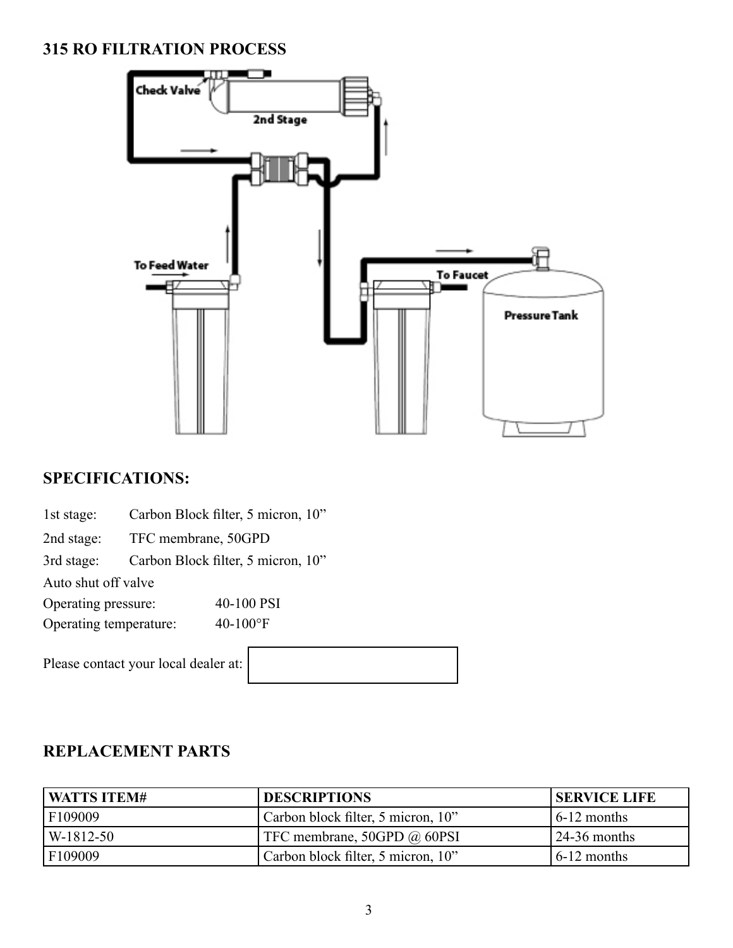# **315 RO FILTRATION PROCESS**



# **SPECIFICATIONS:**

| 1st stage: | Carbon Block filter, 5 micron, 10" |  |
|------------|------------------------------------|--|
|------------|------------------------------------|--|

2nd stage: TFC membrane, 50GPD

3rd stage: Carbon Block filter, 5 micron, 10"

Auto shut off valve

Operating pressure: 40-100 PSI

Operating temperature: 40-100°F

Please contact your local dealer at:

| <b>WATTS ITEM#</b> | <b>DESCRIPTIONS</b>                | <b>SERVICE LIFE</b>      |
|--------------------|------------------------------------|--------------------------|
| F109009            | Carbon block filter, 5 micron, 10" | $6-12$ months            |
| W-1812-50          | TFC membrane, 50GPD @ 60PSI        | $\frac{24-36}{ }$ months |
| F109009            | Carbon block filter, 5 micron, 10" | $6-12$ months            |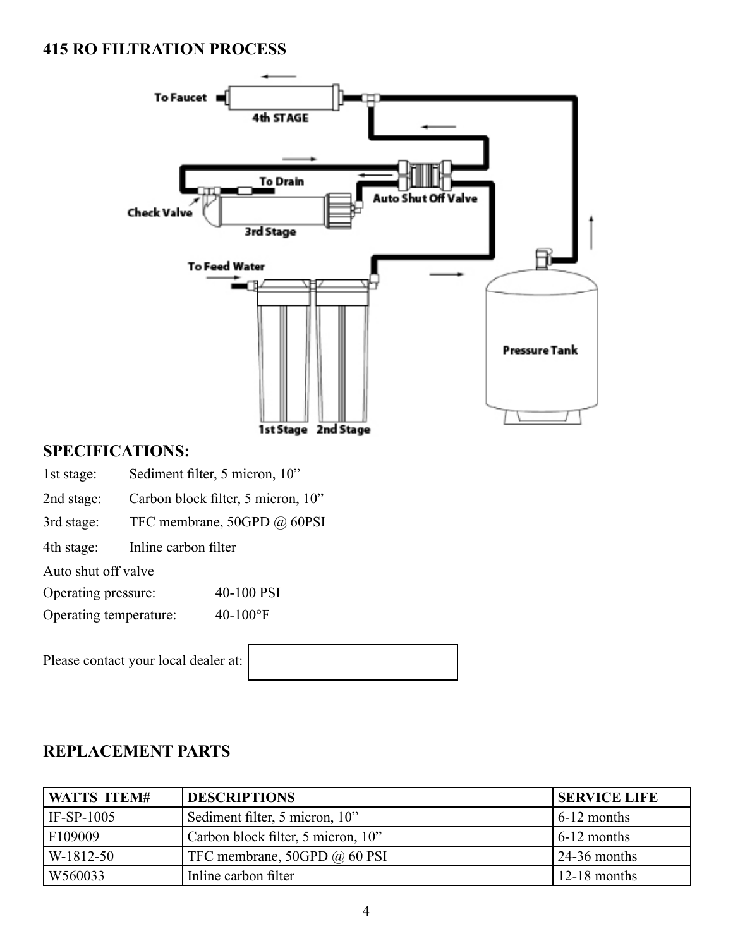# **415 RO FILTRATION PROCESS**



### **SPECIFICATIONS:**

- 1st stage: Sediment filter, 5 micron, 10"
- 2nd stage: Carbon block filter, 5 micron, 10"
- 3rd stage: TFC membrane, 50GPD @ 60PSI
- 4th stage: Inline carbon filter
- Auto shut off valve
- Operating pressure: 40-100 PSI
- Operating temperature: 40-100°F

Please contact your local dealer at:

| <b>WATTS ITEM#</b> | <b>DESCRIPTIONS</b>                | <b>ISERVICE LIFE</b>  |
|--------------------|------------------------------------|-----------------------|
| $IF-SP-1005$       | Sediment filter, 5 micron, 10"     | $6-12$ months         |
| F109009            | Carbon block filter, 5 micron, 10" | $6-12$ months         |
| W-1812-50          | TFC membrane, 50GPD @ 60 PSI       | $\sqrt{24-36}$ months |
| W560033            | Inline carbon filter               | $12-18$ months        |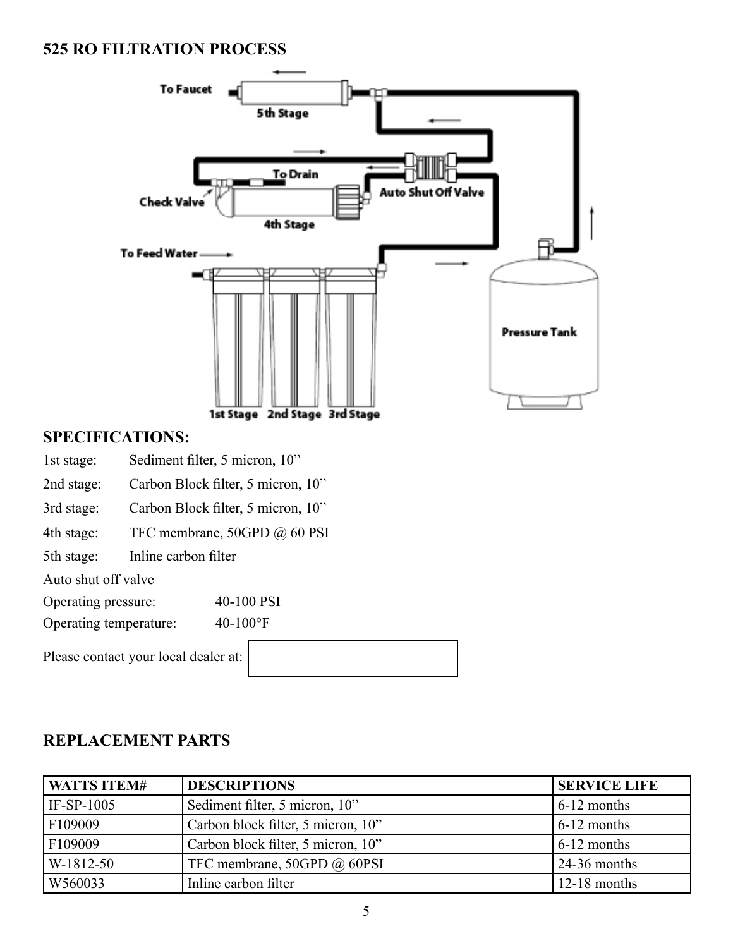# **525 RO FILTRATION PROCESS**



# **SPECIFICATIONS:**

- 1st stage: Sediment filter, 5 micron, 10"
- 2nd stage: Carbon Block filter, 5 micron, 10"
- 3rd stage: Carbon Block filter, 5 micron, 10"
- 4th stage: TFC membrane, 50GPD @ 60 PSI
- 5th stage: Inline carbon filter

Auto shut off valve

Operating pressure: 40-100 PSI

Operating temperature: 40-100°F

Please contact your local dealer at

| <b>WATTS ITEM#</b> | <b>DESCRIPTIONS</b>                | <b>SERVICE LIFE</b>   |
|--------------------|------------------------------------|-----------------------|
| IF-SP-1005         | Sediment filter, 5 micron, 10"     | $6-12$ months         |
| F109009            | Carbon block filter, 5 micron, 10" | $6-12$ months         |
| F109009            | Carbon block filter, 5 micron, 10" | $6-12$ months         |
| W-1812-50          | TFC membrane, 50GPD @ 60PSI        | $\sqrt{24-36}$ months |
| W560033            | Inline carbon filter               | $12-18$ months        |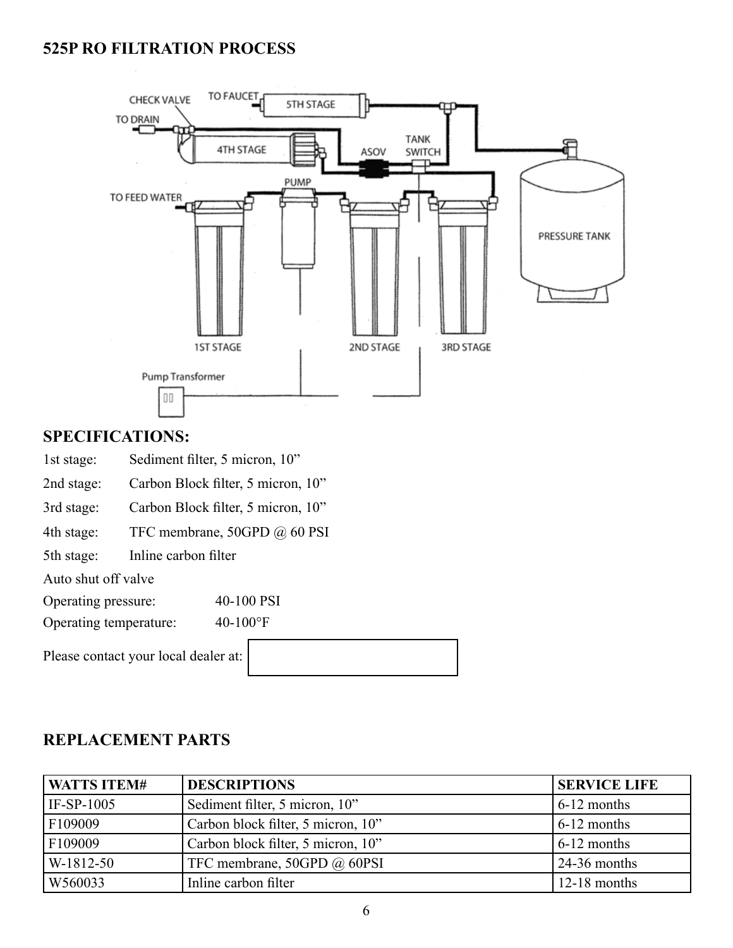# **525P RO FILTRATION PROCESS**



# **SPECIFICATIONS:**

1st stage: Sediment filter, 5 micron, 10"

2nd stage: Carbon Block filter, 5 micron, 10"

3rd stage: Carbon Block filter, 5 micron, 10"

4th stage: TFC membrane, 50GPD @ 60 PSI

5th stage: Inline carbon filter

Auto shut off valve

Operating pressure: 40-100 PSI

Operating temperature: 40-100°F

Please contact your local dealer a

| - - - | $\overline{\phantom{a}}$ |  |  |
|-------|--------------------------|--|--|
| at:   |                          |  |  |
|       |                          |  |  |
|       |                          |  |  |

| <b>WATTS ITEM#</b> | <b>DESCRIPTIONS</b>                | <b>SERVICE LIFE</b>   |
|--------------------|------------------------------------|-----------------------|
| IF-SP- $1005$      | Sediment filter, 5 micron, 10"     | $6-12$ months         |
| F109009            | Carbon block filter, 5 micron, 10" | $6-12$ months         |
| F109009            | Carbon block filter, 5 micron, 10" | $6-12$ months         |
| W-1812-50          | TFC membrane, 50GPD @ 60PSI        | $\sqrt{24-36}$ months |
| W560033            | Inline carbon filter               | $12-18$ months        |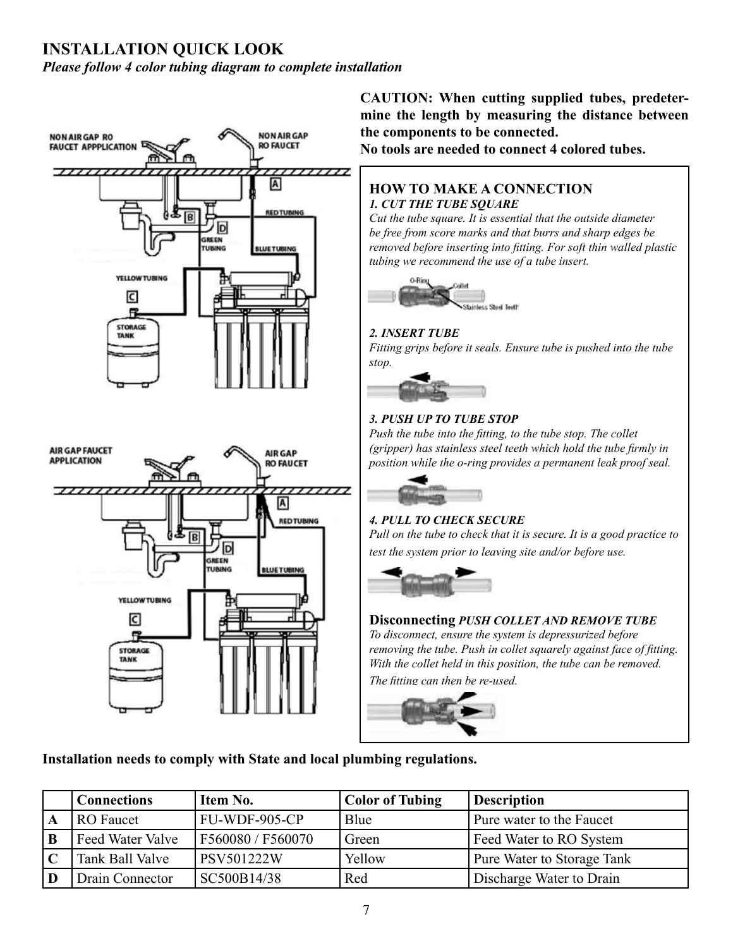# **INSTALLATION QUICK LOOK**

*Please follow 4 color tubing diagram to complete installation* 



**CAUTION: When cutting supplied tubes, predetermine the length by measuring the distance between the components to be connected.** 

**No tools are needed to connect 4 colored tubes.**

#### **HOW TO MAKE A CONNECTION**  *1. CUT THE TUBE SQUARE*

*Cut the tube square. It is essential that the outside diameter be free from score marks and that burrs and sharp edges be removed before inserting into fitting. For soft thin walled plastic tubing we recommend the use of a tube insert.* 



#### *2. INSERT TUBE*

*Fitting grips before it seals. Ensure tube is pushed into the tube stop.* 



#### *3. PUSH UP TO TUBE STOP*

*Push the tube into the fitting, to the tube stop. The collet (gripper) has stainless steel teeth which hold the tube firmly in position while the o-ring provides a permanent leak proof seal.* 



### *4. PULL TO CHECK SECURE*

*Pull on the tube to check that it is secure. It is a good practice to test the system prior to leaving site and/or before use.* 



### **Disconnecting** *PUSH COLLET AND REMOVE TUBE*

*To disconnect, ensure the system is depressurized before removing the tube. Push in collet squarely against face of fitting. With the collet held in this position, the tube can be removed. The fitting can then be re-used.* 



**Installation needs to comply with State and local plumbing regulations.**

|              | <b>Connections</b> | Item No.          | <b>Color of Tubing</b> | <b>Description</b>         |
|--------------|--------------------|-------------------|------------------------|----------------------------|
| $\mathbf{A}$ | <b>RO</b> Faucet   | FU-WDF-905-CP     | Blue                   | Pure water to the Faucet   |
| $\mathbf{B}$ | Feed Water Valve   | F560080 / F560070 | Green                  | Feed Water to RO System    |
| C            | Tank Ball Valve    | PSV501222W        | Yellow                 | Pure Water to Storage Tank |
| $\mathbf{D}$ | Drain Connector    | SC500B14/38       | Red                    | Discharge Water to Drain   |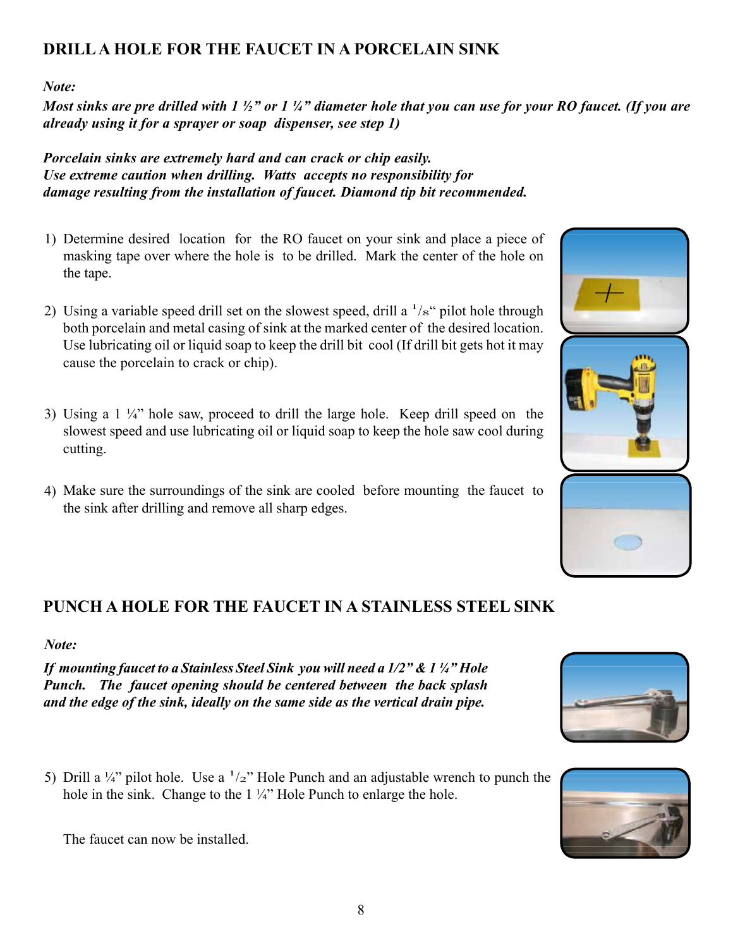# **DRILL A HOLE FOR THE FAUCET IN A PORCELAIN SINK**

*Note:*

*Most sinks are pre drilled with 1 ½" or 1 ¼" diameter hole that you can use for your RO faucet. (If you are already using it for a sprayer or soap dispenser, see step 1)*

*Porcelain sinks are extremely hard and can crack or chip easily. Use extreme caution when drilling. Watts accepts no responsibility for damage resulting from the installation of faucet. Diamond tip bit recommended.*

- 1) Determine desired location for the RO faucet on your sink and place a piece of masking tape over where the hole is to be drilled. Mark the center of the hole on the tape.
- 2) Using a variable speed drill set on the slowest speed, drill a  $\frac{1}{s^4}$  pilot hole through both porcelain and metal casing of sink at the marked center of the desired location. Use lubricating oil or liquid soap to keep the drill bit cool (If drill bit gets hot it may cause the porcelain to crack or chip).
- 3) Using a 1 ¼" hole saw, proceed to drill the large hole. Keep drill speed on the slowest speed and use lubricating oil or liquid soap to keep the hole saw cool during cutting.
- Make sure the surroundings of the sink are cooled before mounting the faucet to 4) the sink after drilling and remove all sharp edges.

# **PUNCH A HOLE FOR THE FAUCET IN A STAINLESS STEEL SINK**

# *Note:*

*If mounting faucet to a Stainless Steel Sink you will need a 1/2" & 1 ¼" Hole Punch. The faucet opening should be centered between the back splash and the edge of the sink, ideally on the same side as the vertical drain pipe.*

5) Drill a  $\frac{1}{4}$  pilot hole. Use a  $\frac{1}{2}$  Hole Punch and an adjustable wrench to punch the hole in the sink. Change to the 1 ¼" Hole Punch to enlarge the hole.

The faucet can now be installed.







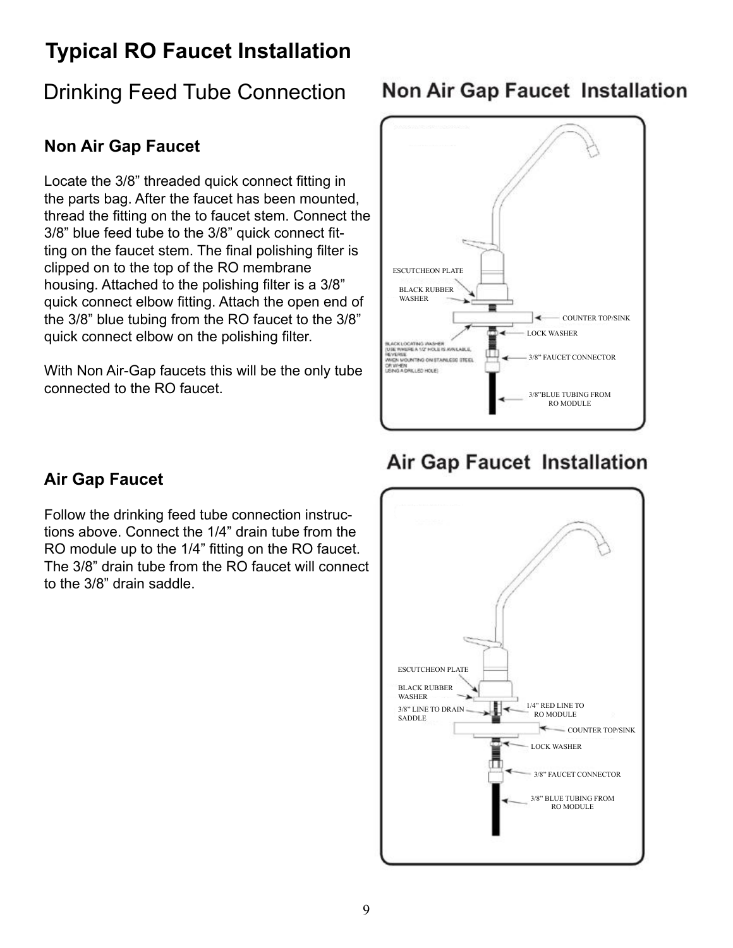# **Typical RO Faucet Installation**

# Drinking Feed Tube Connection

# **Non Air Gap Faucet**

Locate the 3/8" threaded quick connect fitting in the parts bag. After the faucet has been mounted, thread the fitting on the to faucet stem. Connect the 3/8" blue feed tube to the 3/8" quick connect fitting on the faucet stem. The final polishing filter is clipped on to the top of the RO membrane housing. Attached to the polishing filter is a 3/8" quick connect elbow fitting. Attach the open end of the 3/8" blue tubing from the RO faucet to the 3/8" quick connect elbow on the polishing filter.

With Non Air-Gap faucets this will be the only tube connected to the RO faucet.

# **Non Air Gap Faucet Installation**



# **Air Gap Faucet Installation**

# **Air Gap Faucet**

Follow the drinking feed tube connection instructions above. Connect the 1/4" drain tube from the RO module up to the 1/4" fitting on the RO faucet. The 3/8" drain tube from the RO faucet will connect to the 3/8" drain saddle.

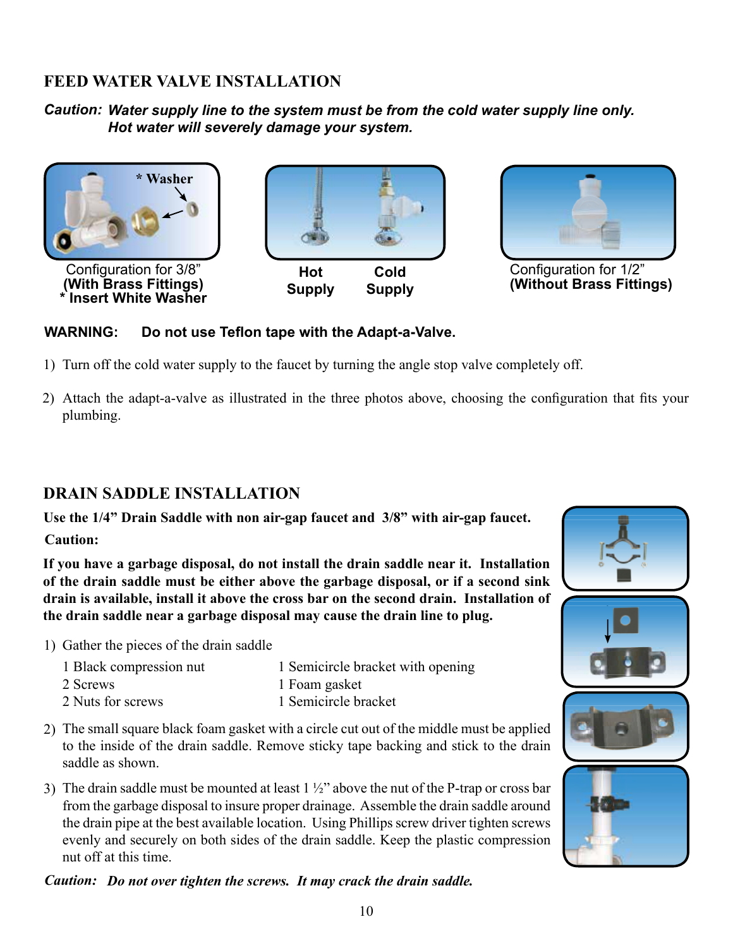# **FEED WATER VALVE INSTALLATION**

*Caution: Water supply line to the system must be from the cold water supply line only. Hot water will severely damage your system.*





Configuration for 1/2" **(Without Brass Fittings)**

### **WARNING: Do not use Teflon tape with the Adapt-a-Valve.**

- 1) Turn off the cold water supply to the faucet by turning the angle stop valve completely off.
- Attach the adapt-a-valve as illustrated in the three photos above, choosing the configuration that fits your 2)plumbing.

# **DRAIN SADDLE INSTALLATION**

**Use the 1/4" Drain Saddle with non air-gap faucet and 3/8" with air-gap faucet.**

**Caution:**

**If you have a garbage disposal, do not install the drain saddle near it. Installation of the drain saddle must be either above the garbage disposal, or if a second sink drain is available, install it above the cross bar on the second drain. Installation of the drain saddle near a garbage disposal may cause the drain line to plug.** 

1) Gather the pieces of the drain saddle

| 1 Black compression nut | 1 Semicircle bracket with opening |
|-------------------------|-----------------------------------|
| 2 Screws                | 1 Foam gasket                     |
| 2 Nuts for screws       | 1 Semicircle bracket              |

- 2) The small square black foam gasket with a circle cut out of the middle must be applied to the inside of the drain saddle. Remove sticky tape backing and stick to the drain saddle as shown.
- 3) The drain saddle must be mounted at least  $1\frac{1}{2}$  above the nut of the P-trap or cross bar from the garbage disposal to insure proper drainage. Assemble the drain saddle around the drain pipe at the best available location. Using Phillips screw driver tighten screws evenly and securely on both sides of the drain saddle. Keep the plastic compression nut off at this time.

*Caution: Do not over tighten the screws. It may crack the drain saddle.*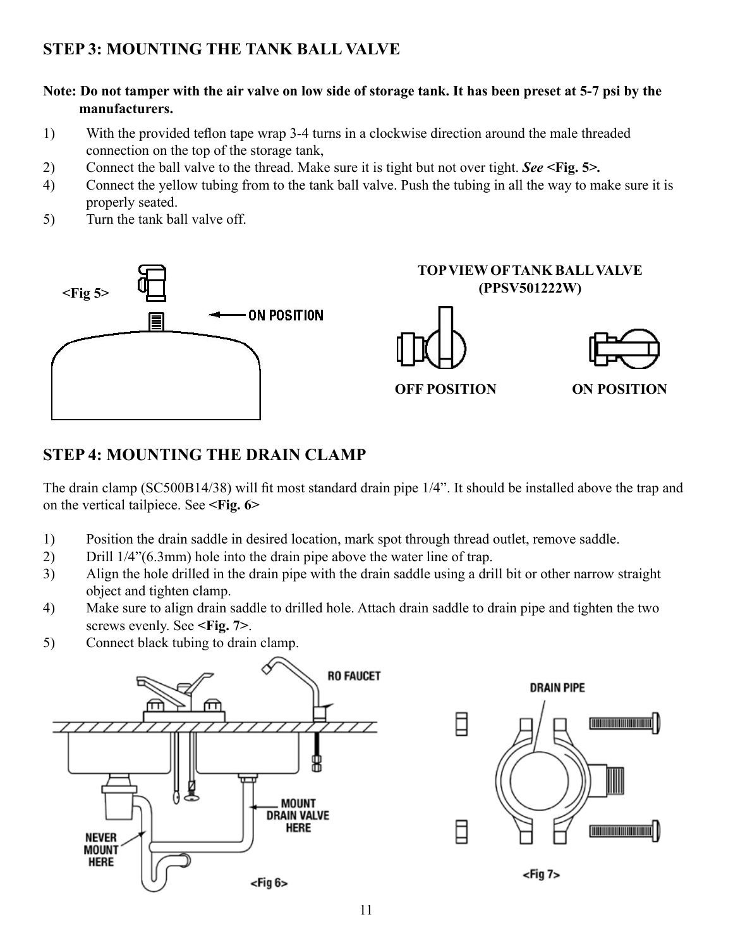# **STEP 3: MOUNTING THE TANK BALL VALVE**

#### **Note: Do not tamper with the air valve on low side of storage tank. It has been preset at 5-7 psi by the manufacturers.**

- 1) With the provided teflon tape wrap 3-4 turns in a clockwise direction around the male threaded connection on the top of the storage tank,
- 2) Connect the ball valve to the thread. Make sure it is tight but not over tight. *See* **<Fig. 5>***.*
- 4) Connect the yellow tubing from to the tank ball valve. Push the tubing in all the way to make sure it is properly seated.
- 5) Turn the tank ball valve off.



# **STEP 4: MOUNTING THE DRAIN CLAMP**

The drain clamp (SC500B14/38) will fit most standard drain pipe 1/4". It should be installed above the trap and on the vertical tailpiece. See **<Fig. 6>**

- 1) Position the drain saddle in desired location, mark spot through thread outlet, remove saddle.
- 2) Drill 1/4"(6.3mm) hole into the drain pipe above the water line of trap.
- 3) Align the hole drilled in the drain pipe with the drain saddle using a drill bit or other narrow straight object and tighten clamp.
- 4) Make sure to align drain saddle to drilled hole. Attach drain saddle to drain pipe and tighten the two screws evenly. See **<Fig. 7>**.
- 5) Connect black tubing to drain clamp.

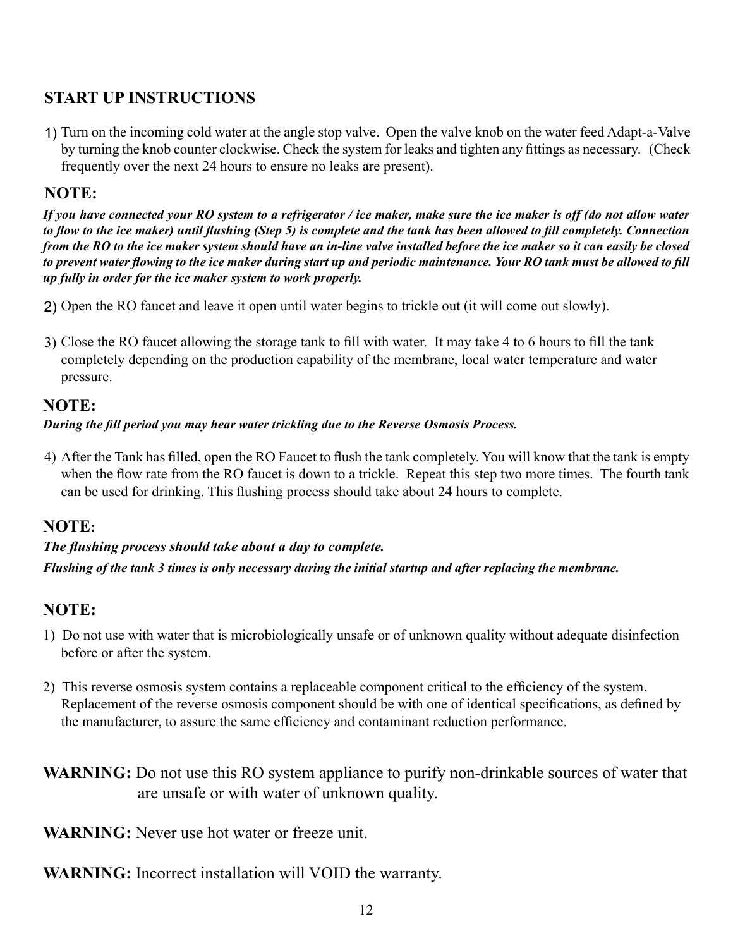# **START UP INSTRUCTIONS**

1) Turn on the incoming cold water at the angle stop valve. Open the valve knob on the water feed Adapt-a-Valve by turning the knob counter clockwise. Check the system for leaks and tighten any fittings as necessary. (Check frequently over the next 24 hours to ensure no leaks are present).

# **NOTE:**

*If you have connected your RO system to a refrigerator / ice maker, make sure the ice maker is off (do not allow water to flow to the ice maker) until flushing (Step 5) is complete and the tank has been allowed to fill completely. Connection from the RO to the ice maker system should have an in-line valve installed before the ice maker so it can easily be closed to prevent water flowing to the ice maker during start up and periodic maintenance. Your RO tank must be allowed to fill up fully in order for the ice maker system to work properly.* 

- 2) Open the RO faucet and leave it open until water begins to trickle out (it will come out slowly).
- 3) Close the RO faucet allowing the storage tank to fill with water. It may take 4 to 6 hours to fill the tank completely depending on the production capability of the membrane, local water temperature and water pressure.

# **NOTE:**

#### *During the fill period you may hear water trickling due to the Reverse Osmosis Process.*

After the Tank has filled, open the RO Faucet to flush the tank completely. You will know that the tank is empty 4) when the flow rate from the RO faucet is down to a trickle. Repeat this step two more times. The fourth tank can be used for drinking. This flushing process should take about 24 hours to complete.

# **NOTE:**

# *Flushing of the tank 3 times is only necessary during the initial startup and after replacing the membrane. The flushing process should take about a day to complete.*

# **NOTE:**

- 1) Do not use with water that is microbiologically unsafe or of unknown quality without adequate disinfection before or after the system.
- 2) This reverse osmosis system contains a replaceable component critical to the efficiency of the system. Replacement of the reverse osmosis component should be with one of identical specifications, as defined by the manufacturer, to assure the same efficiency and contaminant reduction performance.
- **WARNING:** Do not use this RO system appliance to purify non-drinkable sources of water that are unsafe or with water of unknown quality.

**WARNING:** Never use hot water or freeze unit.

**WARNING:** Incorrect installation will VOID the warranty.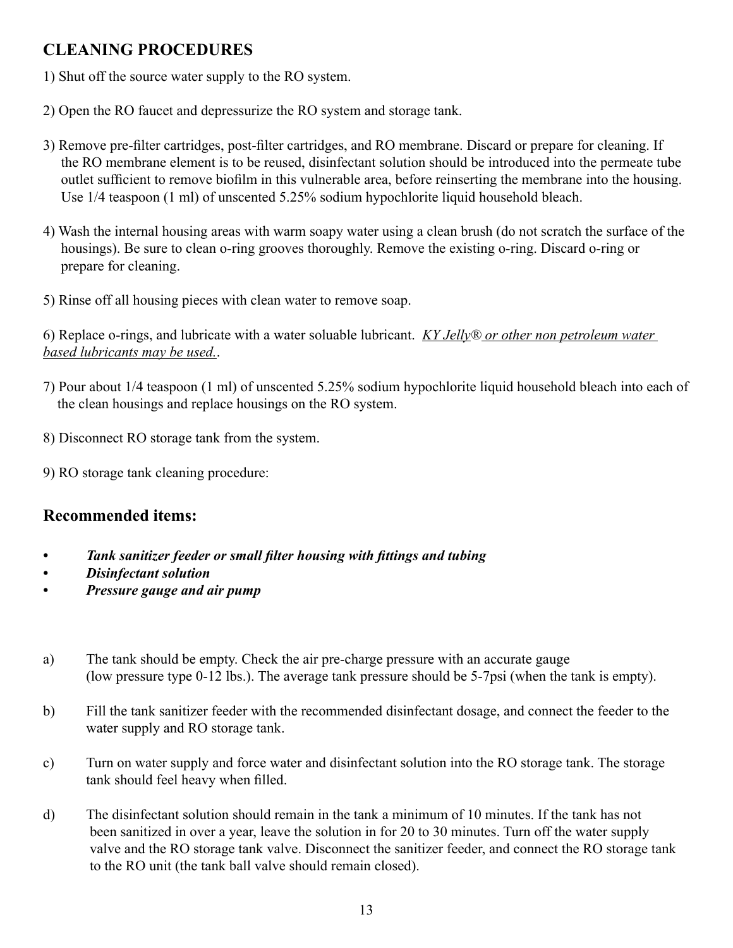# **CLEANING PROCEDURES**

- 1) Shut off the source water supply to the RO system.
- 2) Open the RO faucet and depressurize the RO system and storage tank.
- 3) Remove pre-filter cartridges, post-filter cartridges, and RO membrane. Discard or prepare for cleaning. If the RO membrane element is to be reused, disinfectant solution should be introduced into the permeate tube outlet sufficient to remove biofilm in this vulnerable area, before reinserting the membrane into the housing. Use 1/4 teaspoon (1 ml) of unscented 5.25% sodium hypochlorite liquid household bleach.
- 4) Wash the internal housing areas with warm soapy water using a clean brush (do not scratch the surface of the housings). Be sure to clean o-ring grooves thoroughly. Remove the existing o-ring. Discard o-ring or prepare for cleaning.
- 5) Rinse off all housing pieces with clean water to remove soap.

6) Replace o-rings, and lubricate with a water soluable lubricant. *KY Jelly® or other non petroleum water based lubricants may be used.*.

- 7) Pour about 1/4 teaspoon (1 ml) of unscented 5.25% sodium hypochlorite liquid household bleach into each of the clean housings and replace housings on the RO system.
- 8) Disconnect RO storage tank from the system.
- 9) RO storage tank cleaning procedure:

# **Recommended items:**

- *• Tank sanitizer feeder or small filter housing with fittings and tubing*
- *• Disinfectant solution*
- *• Pressure gauge and air pump*
- a) The tank should be empty. Check the air pre-charge pressure with an accurate gauge (low pressure type 0-12 lbs.). The average tank pressure should be 5-7psi (when the tank is empty).
- b) Fill the tank sanitizer feeder with the recommended disinfectant dosage, and connect the feeder to the water supply and RO storage tank.
- c) Turn on water supply and force water and disinfectant solution into the RO storage tank. The storage tank should feel heavy when filled.
- d) The disinfectant solution should remain in the tank a minimum of 10 minutes. If the tank has not been sanitized in over a year, leave the solution in for 20 to 30 minutes. Turn off the water supply valve and the RO storage tank valve. Disconnect the sanitizer feeder, and connect the RO storage tank to the RO unit (the tank ball valve should remain closed).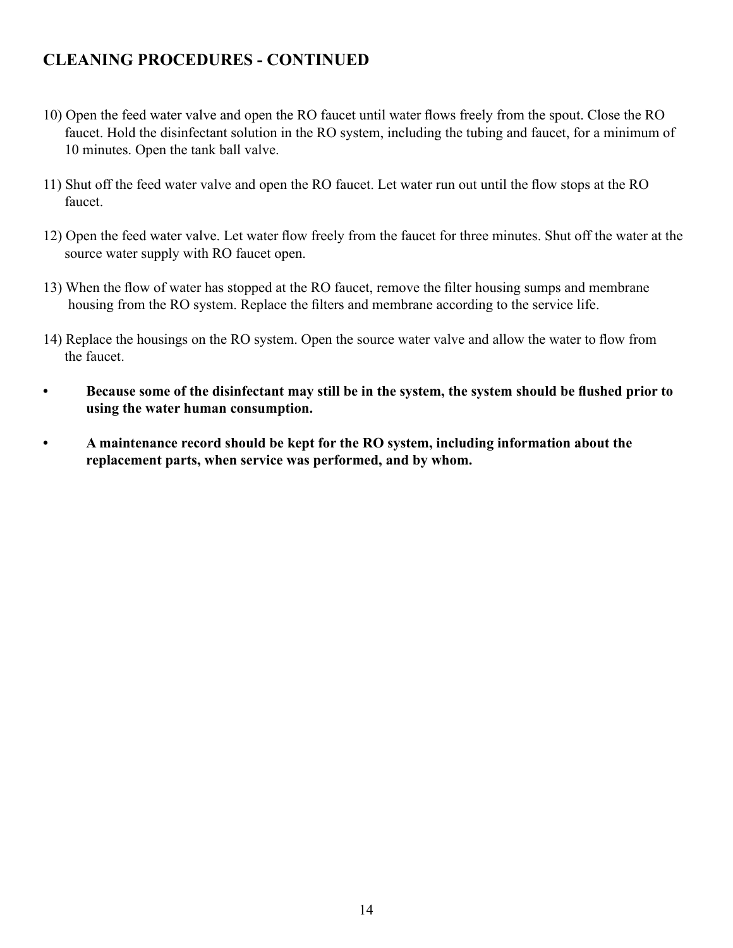# **CLEANING PROCEDURES - CONTINUED**

- 10) Open the feed water valve and open the RO faucet until water flows freely from the spout. Close the RO faucet. Hold the disinfectant solution in the RO system, including the tubing and faucet, for a minimum of 10 minutes. Open the tank ball valve.
- 11) Shut off the feed water valve and open the RO faucet. Let water run out until the flow stops at the RO faucet.
- 12) Open the feed water valve. Let water flow freely from the faucet for three minutes. Shut off the water at the source water supply with RO faucet open.
- 13) When the flow of water has stopped at the RO faucet, remove the filter housing sumps and membrane housing from the RO system. Replace the filters and membrane according to the service life.
- 14) Replace the housings on the RO system. Open the source water valve and allow the water to flow from the faucet.
- Because some of the disinfectant may still be in the system, the system should be flushed prior to **using the water human consumption.**
- **• A maintenance record should be kept for the RO system, including information about the replacement parts, when service was performed, and by whom.**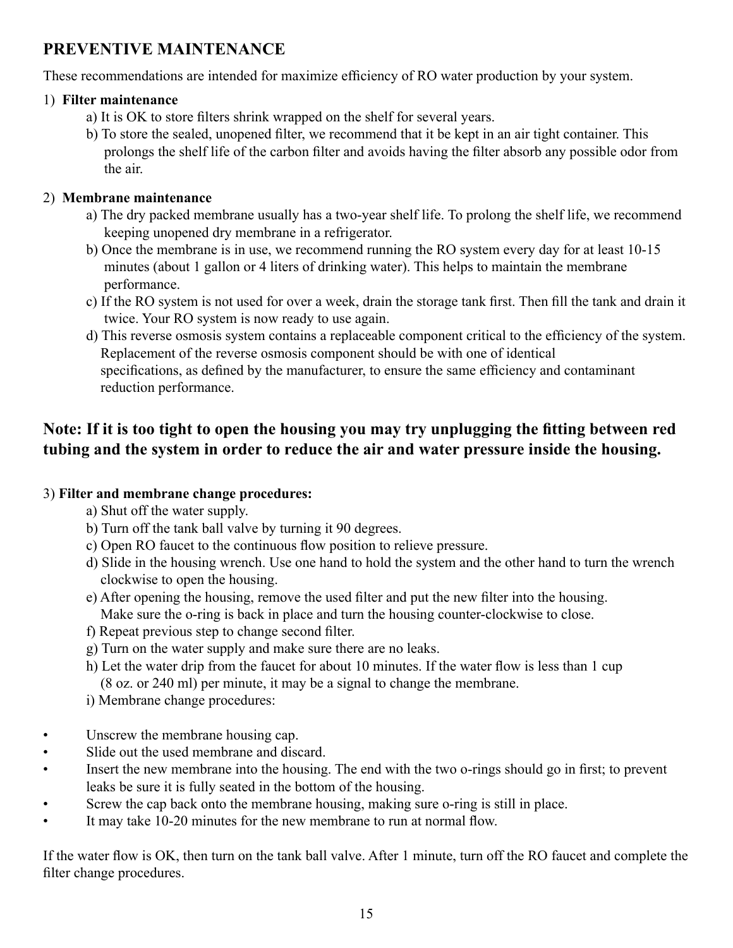# **PREVENTIVE MAINTENANCE**

These recommendations are intended for maximize efficiency of RO water production by your system.

#### 1) **Filter maintenance**

- a) It is OK to store filters shrink wrapped on the shelf for several years.
- b) To store the sealed, unopened filter, we recommend that it be kept in an air tight container. This prolongs the shelf life of the carbon filter and avoids having the filter absorb any possible odor from the air.

#### 2) **Membrane maintenance**

- a) The dry packed membrane usually has a two-year shelf life. To prolong the shelf life, we recommend keeping unopened dry membrane in a refrigerator.
- b) Once the membrane is in use, we recommend running the RO system every day for at least 10-15 minutes (about 1 gallon or 4 liters of drinking water). This helps to maintain the membrane performance.
- c) If the RO system is not used for over a week, drain the storage tank first. Then fill the tank and drain it twice. Your RO system is now ready to use again.
- d) This reverse osmosis system contains a replaceable component critical to the efficiency of the system. Replacement of the reverse osmosis component should be with one of identical specifications, as defined by the manufacturer, to ensure the same efficiency and contaminant reduction performance.

# **Note: If it is too tight to open the housing you may try unplugging the fitting between red tubing and the system in order to reduce the air and water pressure inside the housing.**

### 3) **Filter and membrane change procedures:**

- a) Shut off the water supply.
- b) Turn off the tank ball valve by turning it 90 degrees.
- c) Open RO faucet to the continuous flow position to relieve pressure.
- d) Slide in the housing wrench. Use one hand to hold the system and the other hand to turn the wrench clockwise to open the housing.
- e) After opening the housing, remove the used filter and put the new filter into the housing. Make sure the o-ring is back in place and turn the housing counter-clockwise to close.
- f) Repeat previous step to change second filter.
- g) Turn on the water supply and make sure there are no leaks.
- h) Let the water drip from the faucet for about 10 minutes. If the water flow is less than 1 cup (8 oz. or 240 ml) per minute, it may be a signal to change the membrane.
- i) Membrane change procedures:
- Unscrew the membrane housing cap.
- Slide out the used membrane and discard.
- Insert the new membrane into the housing. The end with the two o-rings should go in first; to prevent leaks be sure it is fully seated in the bottom of the housing.
- Screw the cap back onto the membrane housing, making sure o-ring is still in place.
- It may take 10-20 minutes for the new membrane to run at normal flow.

If the water flow is OK, then turn on the tank ball valve. After 1 minute, turn off the RO faucet and complete the filter change procedures.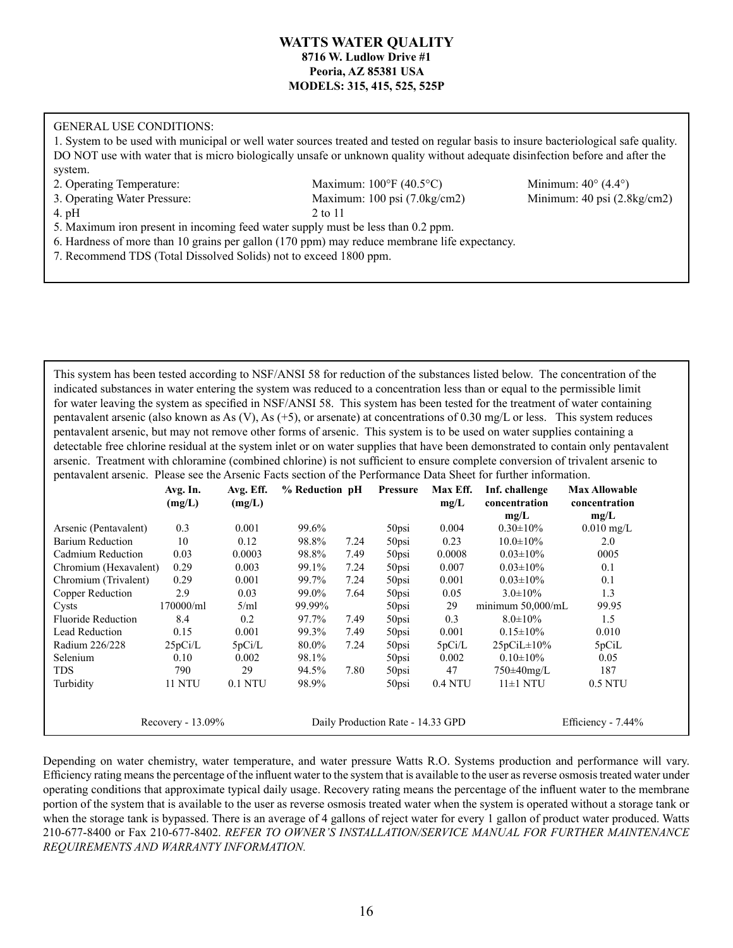#### **WATTS WATER QUALITY 8716 W. Ludlow Drive #1 Peoria, AZ 85381 USA MODELS: 315, 415, 525, 525P**

#### GENERAL USE CONDITIONS:

1. System to be used with municipal or well water sources treated and tested on regular basis to insure bacteriological safe quality. DO NOT use with water that is micro biologically unsafe or unknown quality without adequate disinfection before and after the system.

2. Operating Temperature: Maximum: 100°F (40.5°C) Minimum: 40° (4.4°) 3. Operating Water Pressure: Maximum: 100 psi (7.0kg/cm2) Minimum: 40 psi (2.8kg/cm2) 4. pH  $2 \text{ to } 11$ 

5. Maximum iron present in incoming feed water supply must be less than 0.2 ppm. 6. Hardness of more than 10 grains per gallon (170 ppm) may reduce membrane life expectancy.

7. Recommend TDS (Total Dissolved Solids) not to exceed 1800 ppm.

This system has been tested according to NSF/ANSI 58 for reduction of the substances listed below. The concentration of the indicated substances in water entering the system was reduced to a concentration less than or equal to the permissible limit for water leaving the system as specified in NSF/ANSI 58. This system has been tested for the treatment of water containing pentavalent arsenic (also known as As (V), As  $(+5)$ , or arsenate) at concentrations of 0.30 mg/L or less. This system reduces pentavalent arsenic, but may not remove other forms of arsenic. This system is to be used on water supplies containing a detectable free chlorine residual at the system inlet or on water supplies that have been demonstrated to contain only pentavalent arsenic. Treatment with chloramine (combined chlorine) is not sufficient to ensure complete conversion of trivalent arsenic to pentavalent arsenic. Please see the Arsenic Facts section of the Performance Data Sheet for further information.

|                           | Avg. In.<br>(mg/L)   | Avg. Eff.<br>(mg/L) | % Reduction pH |      | <b>Pressure</b>                   | Max Eff.<br>mg/L | Inf. challenge<br>concentration<br>mg/L | <b>Max Allowable</b><br>concentration<br>mg/L |
|---------------------------|----------------------|---------------------|----------------|------|-----------------------------------|------------------|-----------------------------------------|-----------------------------------------------|
| Arsenic (Pentavalent)     | 0.3                  | 0.001               | 99.6%          |      | 50psi                             | 0.004            | $0.30 \pm 10\%$                         | $0.010$ mg/L                                  |
| <b>Barium Reduction</b>   | 10                   | 0.12                | 98.8%          | 7.24 | 50psi                             | 0.23             | $10.0 \pm 10\%$                         | 2.0                                           |
| Cadmium Reduction         | 0.03                 | 0.0003              | 98.8%          | 7.49 | 50psi                             | 0.0008           | $0.03 \pm 10\%$                         | 0005                                          |
| Chromium (Hexavalent)     | 0.29                 | 0.003               | 99.1%          | 7.24 | 50psi                             | 0.007            | $0.03 \pm 10\%$                         | 0.1                                           |
| Chromium (Trivalent)      | 0.29                 | 0.001               | 99.7%          | 7.24 | 50psi                             | 0.001            | $0.03 \pm 10\%$                         | 0.1                                           |
| Copper Reduction          | 2.9                  | 0.03                | 99.0%          | 7.64 | 50psi                             | 0.05             | $3.0 \pm 10\%$                          | 1.3                                           |
| Cysts                     | 170000/ml            | 5/ml                | 99.99%         |      | 50psi                             | 29               | minimum $50,000$ /mL                    | 99.95                                         |
| <b>Fluoride Reduction</b> | 8.4                  | 0.2                 | 97.7%          | 7.49 | $50$ psi                          | 0.3              | $8.0 \pm 10\%$                          | 1.5                                           |
| <b>Lead Reduction</b>     | 0.15                 | 0.001               | 99.3%          | 7.49 | 50psi                             | 0.001            | $0.15 \pm 10\%$                         | 0.010                                         |
| Radium 226/228            | 25pCi/L              | 5pCi/L              | 80.0%          | 7.24 | 50psi                             | 5pCi/L           | $25pCiL \pm 10\%$                       | 5pCiL                                         |
| Selenium                  | 0.10                 | 0.002               | 98.1%          |      | 50psi                             | 0.002            | $0.10 \pm 10\%$                         | 0.05                                          |
| <b>TDS</b>                | 790                  | 29                  | 94.5%          | 7.80 | $50$ psi                          | 47               | $750\pm40$ mg/L                         | 187                                           |
| Turbidity                 | 11 NTU               | 0.1 NTU             | 98.9%          |      | 50psi                             | 0.4 NTU          | $11\pm1$ NTU                            | 0.5 NTU                                       |
|                           | Recovery - $13.09\%$ |                     |                |      | Daily Production Rate - 14.33 GPD |                  |                                         | Efficiency - 7.44%                            |

Depending on water chemistry, water temperature, and water pressure Watts R.O. Systems production and performance will vary. Efficiency rating means the percentage of the influent water to the system that is available to the user as reverse osmosis treated water under operating conditions that approximate typical daily usage. Recovery rating means the percentage of the influent water to the membrane portion of the system that is available to the user as reverse osmosis treated water when the system is operated without a storage tank or when the storage tank is bypassed. There is an average of 4 gallons of reject water for every 1 gallon of product water produced. Watts 210-677-8400 or Fax 210-677-8402. *REFER TO OWNER'S INSTALLATION/SERVICE MANUAL FOR FURTHER MAINTENANCE REQUIREMENTS AND WARRANTY INFORMATION.*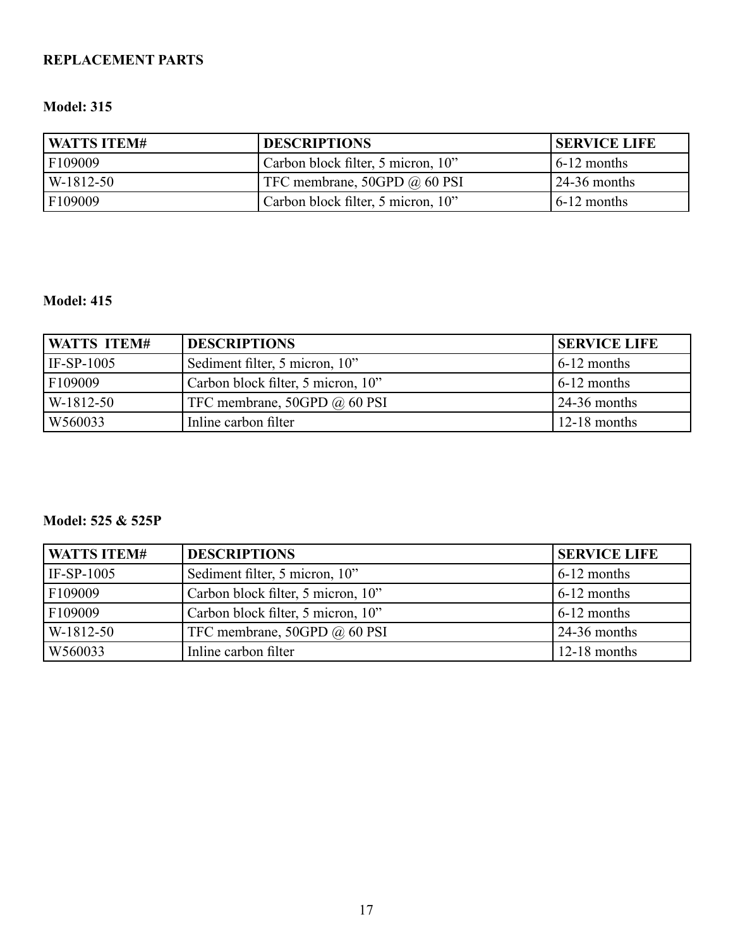### **REPLACEMENT PARTS**

#### **Model: 315**

| <b>WATTS ITEM#</b> | <b>DESCRIPTIONS</b>                 | <b>SERVICE LIFE</b>   |
|--------------------|-------------------------------------|-----------------------|
| F109009            | Carbon block filter, 5 micron, 10"  | $6-12$ months         |
| $W-1812-50$        | TFC membrane, 50GPD $\omega$ 60 PSI | $\sqrt{24-36}$ months |
| F109009            | Carbon block filter, 5 micron, 10"  | $6-12$ months         |

#### **Model: 415**

| WATTS ITEM# | <b>DESCRIPTIONS</b>                | <b>SERVICE LIFE</b>       |
|-------------|------------------------------------|---------------------------|
| IF-SP-1005  | Sediment filter, 5 micron, 10"     | $\frac{1}{2}$ months      |
| F109009     | Carbon block filter, 5 micron, 10" | $\frac{1}{6}$ -12 months  |
| W-1812-50   | TFC membrane, 50GPD @ 60 PSI       | $\frac{124-36}{ }$ months |
| W560033     | Inline carbon filter               | $12-18$ months            |

#### **Model: 525 & 525P**

| WATTS ITEM# | <b>DESCRIPTIONS</b>                | <b>SERVICE LIFE</b> |
|-------------|------------------------------------|---------------------|
| IF-SP-1005  | Sediment filter, 5 micron, 10"     | $6-12$ months       |
| F109009     | Carbon block filter, 5 micron, 10" | $6-12$ months       |
| F109009     | Carbon block filter, 5 micron, 10" | $6-12$ months       |
| W-1812-50   | TFC membrane, 50GPD @ 60 PSI       | $24-36$ months      |
| W560033     | Inline carbon filter               | $12-18$ months      |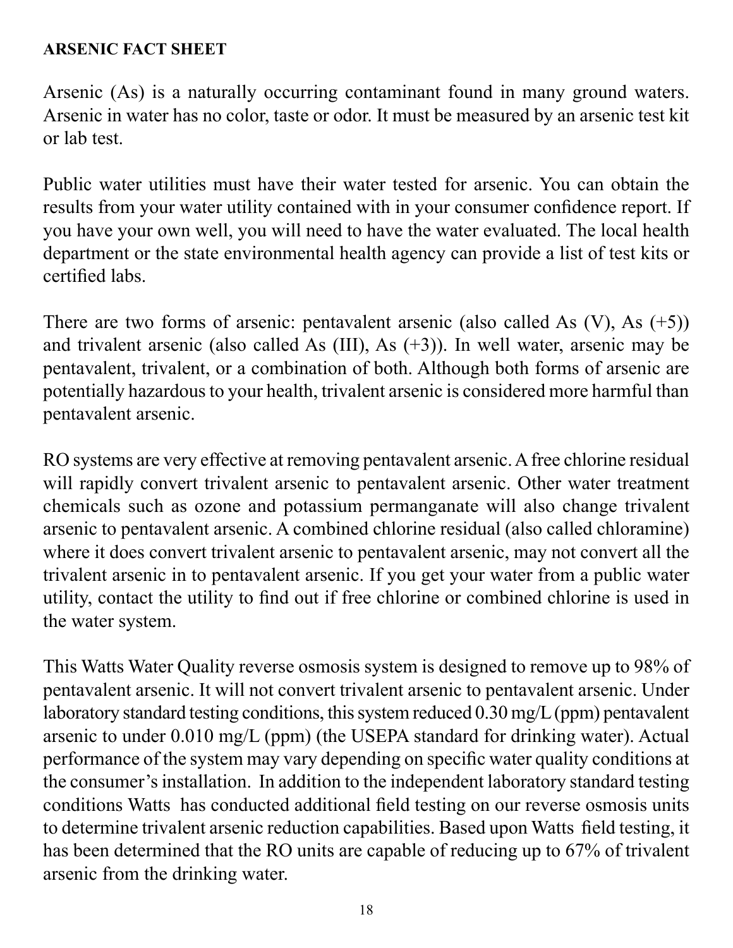# **ARSENIC FACT SHEET**

Arsenic (As) is a naturally occurring contaminant found in many ground waters. Arsenic in water has no color, taste or odor. It must be measured by an arsenic test kit or lab test.

Public water utilities must have their water tested for arsenic. You can obtain the results from your water utility contained with in your consumer confidence report. If you have your own well, you will need to have the water evaluated. The local health department or the state environmental health agency can provide a list of test kits or certified labs.

There are two forms of arsenic: pentavalent arsenic (also called As  $(V)$ , As  $(+5)$ ) and trivalent arsenic (also called As (III), As (+3)). In well water, arsenic may be pentavalent, trivalent, or a combination of both. Although both forms of arsenic are potentially hazardous to your health, trivalent arsenic is considered more harmful than pentavalent arsenic.

RO systems are very effective at removing pentavalent arsenic. A free chlorine residual will rapidly convert trivalent arsenic to pentavalent arsenic. Other water treatment chemicals such as ozone and potassium permanganate will also change trivalent arsenic to pentavalent arsenic. A combined chlorine residual (also called chloramine) where it does convert trivalent arsenic to pentavalent arsenic, may not convert all the trivalent arsenic in to pentavalent arsenic. If you get your water from a public water utility, contact the utility to find out if free chlorine or combined chlorine is used in the water system.

This Watts Water Quality reverse osmosis system is designed to remove up to 98% of pentavalent arsenic. It will not convert trivalent arsenic to pentavalent arsenic. Under laboratory standard testing conditions, this system reduced 0.30 mg/L (ppm) pentavalent arsenic to under 0.010 mg/L (ppm) (the USEPA standard for drinking water). Actual performance of the system may vary depending on specific water quality conditions at the consumer's installation. In addition to the independent laboratory standard testing conditions Watts has conducted additional field testing on our reverse osmosis units to determine trivalent arsenic reduction capabilities. Based upon Watts field testing, it has been determined that the RO units are capable of reducing up to 67% of trivalent arsenic from the drinking water.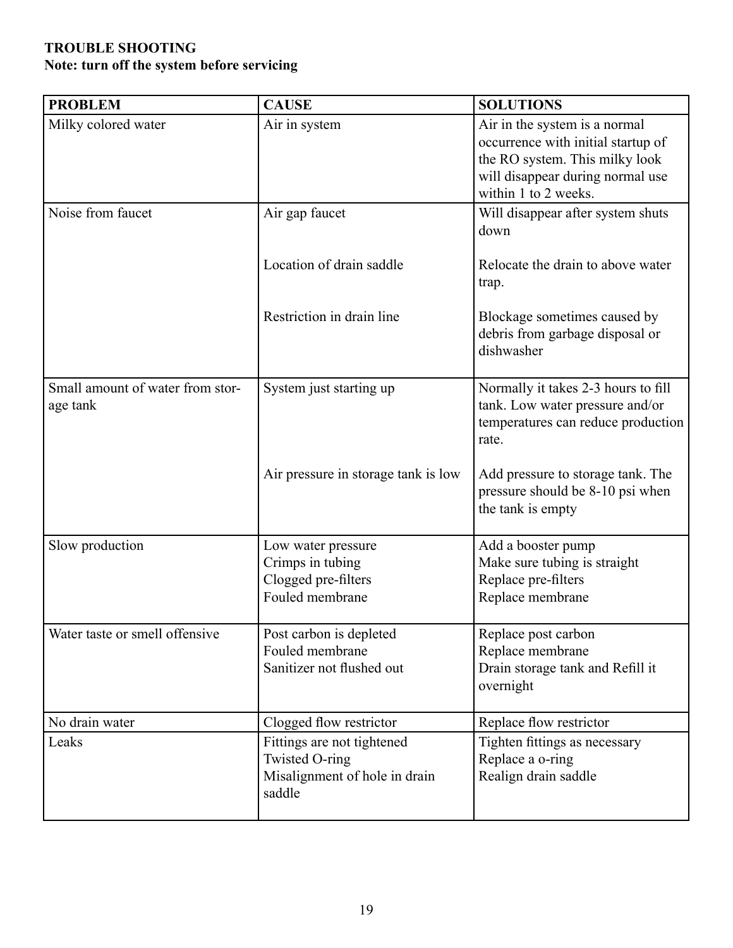### **TROUBLE SHOOTING Note: turn off the system before servicing**

| <b>PROBLEM</b>                               | <b>CAUSE</b>                                                                            | <b>SOLUTIONS</b>                                                                                                                                                  |
|----------------------------------------------|-----------------------------------------------------------------------------------------|-------------------------------------------------------------------------------------------------------------------------------------------------------------------|
| Milky colored water                          | Air in system                                                                           | Air in the system is a normal<br>occurrence with initial startup of<br>the RO system. This milky look<br>will disappear during normal use<br>within 1 to 2 weeks. |
| Noise from faucet                            | Air gap faucet                                                                          | Will disappear after system shuts<br>down                                                                                                                         |
|                                              | Location of drain saddle                                                                | Relocate the drain to above water<br>trap.                                                                                                                        |
|                                              | Restriction in drain line                                                               | Blockage sometimes caused by<br>debris from garbage disposal or<br>dishwasher                                                                                     |
| Small amount of water from stor-<br>age tank | System just starting up                                                                 | Normally it takes 2-3 hours to fill<br>tank. Low water pressure and/or<br>temperatures can reduce production<br>rate.                                             |
|                                              | Air pressure in storage tank is low                                                     | Add pressure to storage tank. The<br>pressure should be 8-10 psi when<br>the tank is empty                                                                        |
| Slow production                              | Low water pressure<br>Crimps in tubing<br>Clogged pre-filters<br>Fouled membrane        | Add a booster pump<br>Make sure tubing is straight<br>Replace pre-filters<br>Replace membrane                                                                     |
| Water taste or smell offensive               | Post carbon is depleted<br>Fouled membrane<br>Sanitizer not flushed out                 | Replace post carbon<br>Replace membrane<br>Drain storage tank and Refill it<br>overnight                                                                          |
| No drain water                               | Clogged flow restrictor                                                                 | Replace flow restrictor                                                                                                                                           |
| Leaks                                        | Fittings are not tightened<br>Twisted O-ring<br>Misalignment of hole in drain<br>saddle | Tighten fittings as necessary<br>Replace a o-ring<br>Realign drain saddle                                                                                         |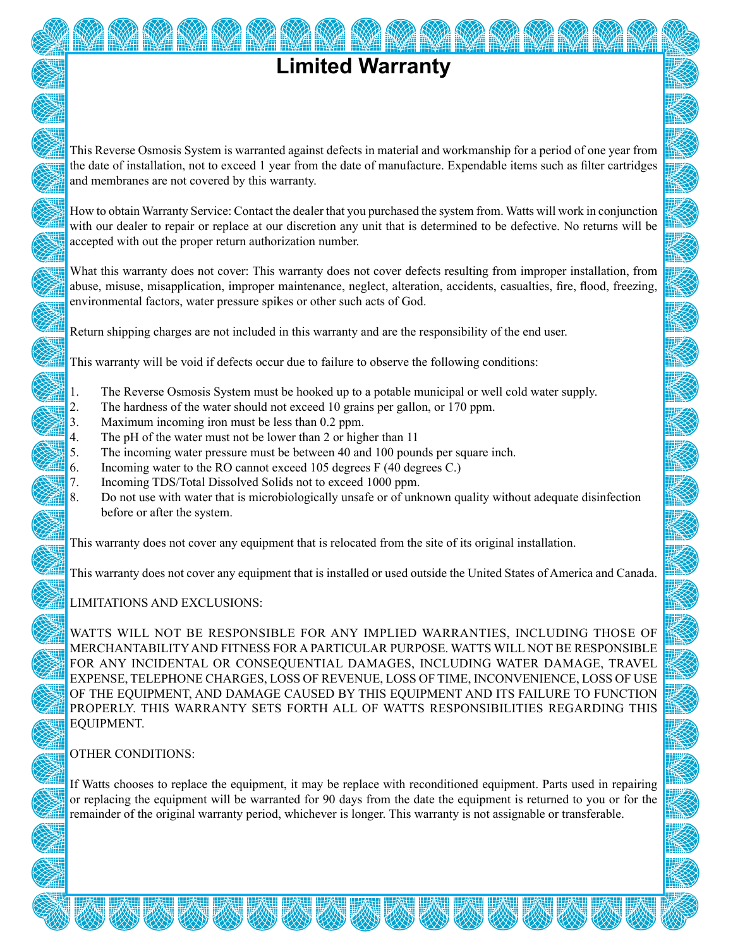# **Limited Warranty**

This Reverse Osmosis System is warranted against defects in material and workmanship for a period of one year from the date of installation, not to exceed 1 year from the date of manufacture. Expendable items such as filter cartridges and membranes are not covered by this warranty.

How to obtain Warranty Service: Contact the dealer that you purchased the system from. Watts will work in conjunction with our dealer to repair or replace at our discretion any unit that is determined to be defective. No returns will be accepted with out the proper return authorization number.

What this warranty does not cover: This warranty does not cover defects resulting from improper installation, from abuse, misuse, misapplication, improper maintenance, neglect, alteration, accidents, casualties, fire, flood, freezing, environmental factors, water pressure spikes or other such acts of God.

Return shipping charges are not included in this warranty and are the responsibility of the end user.

This warranty will be void if defects occur due to failure to observe the following conditions:

- 1. The Reverse Osmosis System must be hooked up to a potable municipal or well cold water supply.
- 2. The hardness of the water should not exceed 10 grains per gallon, or 170 ppm.
- 3. Maximum incoming iron must be less than 0.2 ppm.
- 4. The pH of the water must not be lower than 2 or higher than 11
- 5. The incoming water pressure must be between 40 and 100 pounds per square inch.
- 6. Incoming water to the RO cannot exceed 105 degrees F (40 degrees C.)
- 7. Incoming TDS/Total Dissolved Solids not to exceed 1000 ppm.
- 8. Do not use with water that is microbiologically unsafe or of unknown quality without adequate disinfection before or after the system.

This warranty does not cover any equipment that is relocated from the site of its original installation.

This warranty does not cover any equipment that is installed or used outside the United States of America and Canada.

#### LIMITATIONS AND EXCLUSIONS:

WATTS WILL NOT BE RESPONSIBLE FOR ANY IMPLIED WARRANTIES, INCLUDING THOSE OF MERCHANTABILITY AND FITNESS FOR A PARTICULAR PURPOSE. WATTS WILL NOT BE RESPONSIBLE FOR ANY INCIDENTAL OR CONSEQUENTIAL DAMAGES, INCLUDING WATER DAMAGE, TRAVEL EXPENSE, TELEPHONE CHARGES, LOSS OF REVENUE, LOSS OF TIME, INCONVENIENCE, LOSS OF USE OF THE EQUIPMENT, AND DAMAGE CAUSED BY THIS EQUIPMENT AND ITS FAILURE TO FUNCTION PROPERLY. THIS WARRANTY SETS FORTH ALL OF WATTS RESPONSIBILITIES REGARDING THIS EQUIPMENT.

#### OTHER CONDITIONS:

If Watts chooses to replace the equipment, it may be replace with reconditioned equipment. Parts used in repairing or replacing the equipment will be warranted for 90 days from the date the equipment is returned to you or for the remainder of the original warranty period, whichever is longer. This warranty is not assignable or transferable.